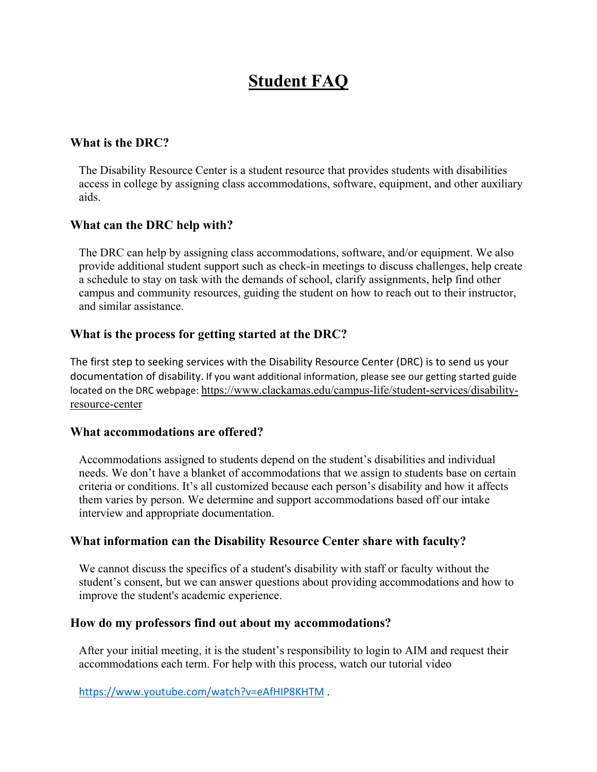# **Student FAQ**

#### **What is the DRC?**

The Disability Resource Center is a student resource that provides students with disabilities access in college by assigning class accommodations, software, equipment, and other auxiliary aids.

#### **What can the DRC help with?**

The DRC can help by assigning class accommodations, software, and/or equipment. We also provide additional student support such as check-in meetings to discuss challenges, help create a schedule to stay on task with the demands of school, clarify assignments, help find other campus and community resources, guiding the student on how to reach out to their instructor, and similar assistance.

### **What is the process for getting started at the DRC?**

The first step to seeking services with the Disability Resource Center (DRC) is to send us your documentation of disability. If you want additional information, please see our getting started guide located on the DRC webpage: [https://www.clackamas.edu/campus-life/student-services/disability](https://www.clackamas.edu/campus-life/student-services/disability-resource-center)[resource-center](https://www.clackamas.edu/campus-life/student-services/disability-resource-center)

#### **What accommodations are offered?**

Accommodations assigned to students depend on the student's disabilities and individual needs. We don't have a blanket of accommodations that we assign to students base on certain criteria or conditions. It's all customized because each person's disability and how it affects them varies by person. We determine and support accommodations based off our intake interview and appropriate documentation.

#### **What information can the Disability Resource Center share with faculty?**

We cannot discuss the specifics of a student's disability with staff or faculty without the student's consent, but we can answer questions about providing accommodations and how to improve the student's academic experience.

#### **How do my professors find out about my accommodations?**

After your initial meeting, it is the student's responsibility to login to AIM and request their accommodations each term. For help with this process, watch our tutorial video

<https://www.youtube.com/watch?v=eAfHIP8KHTM> .